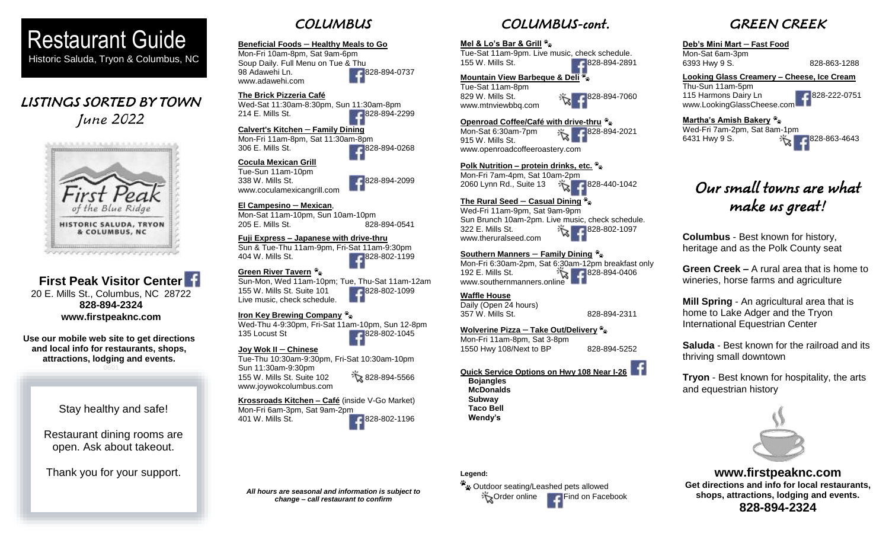

# LISTINGS SORTED BY TOWN June 2022

I



# **First Peak Visitor Center** 20 E. Mills St., Columbus, NC 28722 **828-894-2324 www.firstpeaknc.com**

**Use our mobile web site to get directions and local info for restaurants, shops, attractions, lodging and events.**

> Stay healthy and safe! Ī

Restaurant dining rooms are open. Ask about takeout.

Thank you for your support.

# **COLUMBUS**

#### **Beneficial Foods** – **Healthy Meals to Go** Mon-Fri 10am-8pm, Sat 9am-6pm Soup Daily. Full Menu on Tue & Thu

98 Adawehi Ln. 6828-894-0737 www.adawehi.com

# **The Brick Pizzeria Café**

Wed-Sat 11:30am-8:30pm, Sun 11:30am-8pm 214 E. Mills St. 828-894-2299

# **Calvert's Kitchen** – **Family Dining**

Mon-Fri 11am-8pm, Sat 11:30am-8pm 306 E. Mills St. 828-894-0268

## **Cocula Mexican Grill**

Tue-Sun 11am-10pm



## **El Campesino** – **Mexican**,

Mon-Sat 11am-10pm, Sun 10am-10pm 205 E. Mills St. 628-894-0541

#### **Fuji Express – Japanese with drive-thru**

Sun & Tue-Thu 11am-9pm, Fri-Sat 11am-9:30pm 404 W. Mills St. 828-802-1199

## **Green River Tavern**

Sun-Mon, Wed 11am-10pm; Tue, Thu-Sat 11am-12am 155 W. Mills St. Suite 101 Live music, check schedule.

Wed-Thu 4-9:30pm, Fri-Sat 11am-10pm, Sun 12-8pm 135 Locust St 828-802-1045

### **Joy Wok II** – **Chinese**

Tue-Thu 10:30am-9:30pm, Fri-Sat 10:30am-10pm Sun 11:30am-9:30pm 155 W. Mills St. Suite 102 828-894-5566 www.joywokcolumbus.com

Mon-Fri 6am-3pm, Sat 9am-2pm 401 W. Mills St. 6828-802-1196

# **Legend:**

<sup>2</sup> 2 Outdoor seating/Leashed pets allowed Order online Find on Facebook

# GREEN CREEK

# **Deb's Mini Mart** – **Fast Food**

Mon-Sat 6am-3pm 6393 Hwy 9 S. 828-863-1288

**Looking Glass Creamery – Cheese, Ice Cream** Thu-Sun 11am-5pm 115 Harmons Dairy Ln **828-222-0751** www.LookingGlassCheese.com

### **Martha's Amish Bakery**

Wed-Fri 7am-2pm, Sat 8am-1pm 6431 Hwy 9 S. 828-863-4643

# Our small towns are what make us great!

**Columbus** - Best known for history, heritage and as the Polk County seat

**Green Creek –** A rural area that is home to wineries, horse farms and agriculture

**Mill Spring** - An agricultural area that is home to Lake Adger and the Tryon International Equestrian Center

**Saluda** - Best known for the railroad and its thriving small downtown

**Tryon** - Best known for hospitality, the arts and equestrian history



# **www.firstpeaknc.com Get directions and info for local restaurants, shops, attractions, lodging and events. 828-894-2324**

*All hours are seasonal and information is subject to change – call restaurant to confirm*

338 W. Mills St. 6828-894-2099

# **Iron Key Brewing Company**

**Krossroads Kitchen – Café** (inside V-Go Market)

**Quick Service Options on Hwy 108 Near I-26** 

**Bojangles McDonalds Subway Taco Bell Wendy's**

**Waffle House** Daily (Open 24 hours)

### **Wolverine Pizza** – **Take Out/Delivery**

1550 Hwy 108/Next to BP 828-894-5252

357 W. Mills St. 828-894-2311

COLUMBUS-cont.

Tue-Sat 11am-9pm. Live music, check schedule. 155 W. Mills St. 6. 288-894-2891

829 W. Mills St.  $\frac{1}{2}$  828-894-7060

2060 Lynn Rd., Suite 13 828-440-1042

Sun Brunch 10am-2pm. Live music, check schedule. 322 E. Mills St. 322 B. 1097

Mon-Fri 6:30am-2pm, Sat 6:30am-12pm breakfast only 192 E. Mills St.  $\sqrt[3]{8}$  828-894-0406

**Openroad Coffee/Café with drive-thru** Mon-Sat 6:30am-7pm  $\frac{1}{2}$  828-894-2021

**Polk Nutrition – protein drinks, etc.** Mon-Fri 7am-4pm, Sat 10am-2pm

**The Rural Seed** – **Casual Dining** Wed-Fri 11am-9pm, Sat 9am-9pm

**Southern Manners** – **Family Dining**

**Mel & Lo's Bar & Grill**

Tue-Sat 11am-8pm

915 W. Mills St.

[www.mtnviewbbq.com](http://www.mtnviewbbq.com/)

www.theruralseed.com

www.southernmanners.online

**Mountain View Barbeque & Deli**

www.openroadcoffeeroastery.com

Mon-Fri 11am-8pm, Sat 3-8pm